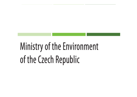# Ministry of the Environment of the Czech Republic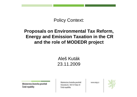#### Policy Context:

#### **Proposals on Environmental Tax Reform,Energy and Emission Taxation in the CRand the role of MODEDR project**

#### Aleš Kuták23.11.2009

Ministerstvo životního prostředí České republiky

Ministerstvo životního prostředí Vršovická 65, 100 10 Praha 10 Česká republika

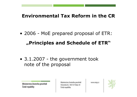#### **Environmental Tax Reform in the CR**

• <sup>2006</sup> - MoE prepared proposal of ETR: **"Principles and Schedule of ETR"**

• 3.1.2007 - the government took note of the proposal

Ministerstvo životního prostředí České republiky

Ministerstvo životního prostředí Vršovická 65, 100 10 Praha 10 Česká republika

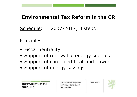## **Environmental Tax Reform in the CR**

## Schedule: 2007-2017, 3 steps

#### Principles:

- Fiscal neutrality<br>• Support of ropo
- Support of renewable energy sources<br>• Support of combined boat and nower
- Support of combined heat and power<br>• Support of operay savings
- Support of energy savings

Ministerstvo životního prostředí Vršovická 65, 100 10 Praha 10 Česká republika



Ministerstvo životního prostředí České republiky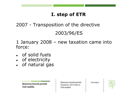## **I. step of ETR**

## 2007 - Transposition of the directive 2003/96/ES

1 January 2008 – new taxation came into force:

- $\bullet$ of solid fuels
- $\bullet$  of electricity • of electricity
- $\bullet$ • of natural gas

Ministerstvo životního prostředí České republiky

Ministerstvo životního prostředí Vršovická 65, 100 10 Praha 10 Česká republika

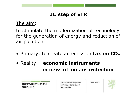## **II. step of ETR**

#### The aim:

to stimulate the modernization of technology for the generation of energy and reduction ofair pollution

- Primary: to create an emission **tax on CO<sup>2</sup>**
- Reality: **economic instruments in new act on air protection**

Ministerstvo životního prostředí České republiky

Ministerstvo životního prostředí Vršovická 65, 100 10 Praha 10 Česká republika

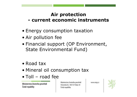#### **Air protection current economic instruments**

- Energy consumption taxation<br>• Air pollution foo
- Air pollution fee<br>• Financial cunne
- Financial support (OP Environment, State Environmental Fund)
- Road tax
- Mineral oil consumption tax<br>• Tell useed foo
- Toll road fee

České republiky

Ministerstvo životního prostředí Vršovická 65, 100 10 Praha 10 Česká republika

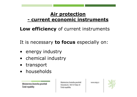#### **Air protection current economic instruments**

**Low efficiency** of current instruments

It is necessary **to focus** especially on:

- •energy industry
- chemical industry<br>• transport
- •transport
- •households

Ministerstvo životního prostředí České republiky

Ministerstvo životního prostředí Vršovická 65, 100 10 Praha 10 Česká republika

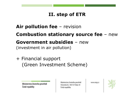## **II. step of ETR**

# **Air pollution fee** – revision **Combustion stationary source fee** – new **Government subsidies** – new (investment in air pollution)

## + Financial support (Green Investment Scheme)

Ministerstvo životního prostředí České republiky

Ministerstvo životního prostředí Vršovická 65, 100 10 Praha 10 Česká republika

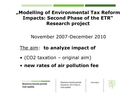## **"Modelling of Environmental Tax Reform Impacts: Second Phase of the ETR"Research project**

November 2007-December 2010

## The aim: **to analyze impact of**

- (CO2 taxation original aim)
- **new rates of air pollution fee**

Ministerstvo životního prostředí České republiky

Ministerstvo životního prostředí Vršovická 65, 100 10 Praha 10 Česká republika

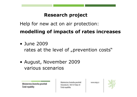## **Research project**

Help for new act on air protection:

## **modelling of impacts of rates increases**

- June 2009 rates at the level of "prevention costs"
- August, November 2009 various scenarios

Ministerstvo životního prostředí České republiky

Ministerstvo životního prostředí Vršovická 65, 100 10 Praha 10 Česká republika

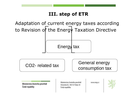## **III. step of ETR**

Adaptation of current energy taxes accordingto Revision of the Energy Taxation Directive

Energy tax

CO2- related tax

General energy consumption tax

Ministerstvo životního prostředí České republiky

Ministerstvo životního prostředí Vršovická 65, 100 10 Praha 10 Česká republika